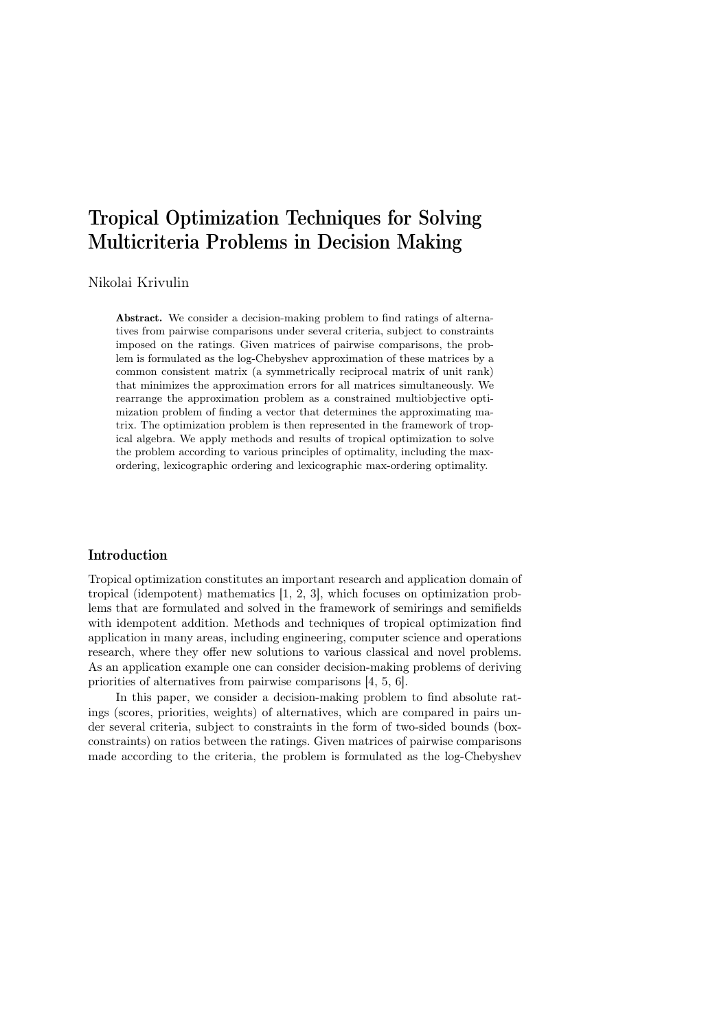# Tropical Optimization Techniques for Solving Multicriteria Problems in Decision Making

# Nikolai Krivulin

Abstract. We consider a decision-making problem to find ratings of alternatives from pairwise comparisons under several criteria, subject to constraints imposed on the ratings. Given matrices of pairwise comparisons, the problem is formulated as the log-Chebyshev approximation of these matrices by a common consistent matrix (a symmetrically reciprocal matrix of unit rank) that minimizes the approximation errors for all matrices simultaneously. We rearrange the approximation problem as a constrained multiobjective optimization problem of finding a vector that determines the approximating matrix. The optimization problem is then represented in the framework of tropical algebra. We apply methods and results of tropical optimization to solve the problem according to various principles of optimality, including the maxordering, lexicographic ordering and lexicographic max-ordering optimality.

# Introduction

Tropical optimization constitutes an important research and application domain of tropical (idempotent) mathematics [1, 2, 3], which focuses on optimization problems that are formulated and solved in the framework of semirings and semifields with idempotent addition. Methods and techniques of tropical optimization find application in many areas, including engineering, computer science and operations research, where they offer new solutions to various classical and novel problems. As an application example one can consider decision-making problems of deriving priorities of alternatives from pairwise comparisons [4, 5, 6].

In this paper, we consider a decision-making problem to find absolute ratings (scores, priorities, weights) of alternatives, which are compared in pairs under several criteria, subject to constraints in the form of two-sided bounds (boxconstraints) on ratios between the ratings. Given matrices of pairwise comparisons made according to the criteria, the problem is formulated as the log-Chebyshev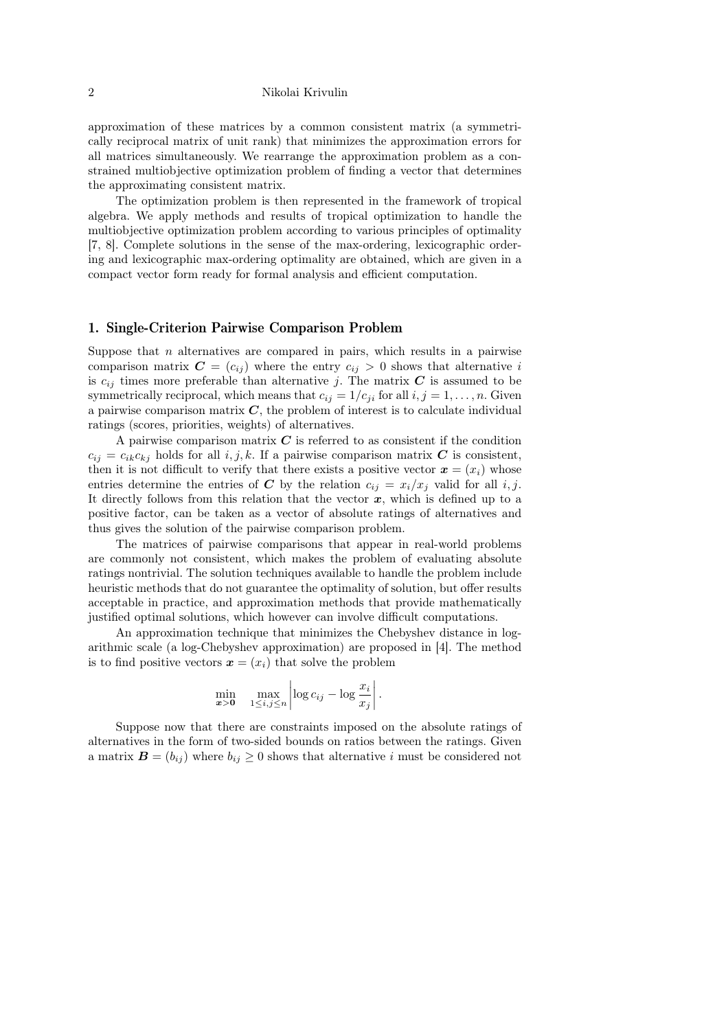#### 2 Nikolai Krivulin

approximation of these matrices by a common consistent matrix (a symmetrically reciprocal matrix of unit rank) that minimizes the approximation errors for all matrices simultaneously. We rearrange the approximation problem as a constrained multiobjective optimization problem of finding a vector that determines the approximating consistent matrix.

The optimization problem is then represented in the framework of tropical algebra. We apply methods and results of tropical optimization to handle the multiobjective optimization problem according to various principles of optimality [7, 8]. Complete solutions in the sense of the max-ordering, lexicographic ordering and lexicographic max-ordering optimality are obtained, which are given in a compact vector form ready for formal analysis and efficient computation.

#### 1. Single-Criterion Pairwise Comparison Problem

Suppose that  $n$  alternatives are compared in pairs, which results in a pairwise comparison matrix  $\mathbf{C} = (c_{ij})$  where the entry  $c_{ij} > 0$  shows that alternative i is  $c_{ij}$  times more preferable than alternative j. The matrix  $C$  is assumed to be symmetrically reciprocal, which means that  $c_{ij} = 1/c_{ji}$  for all  $i, j = 1, ..., n$ . Given a pairwise comparison matrix  $C$ , the problem of interest is to calculate individual ratings (scores, priorities, weights) of alternatives.

A pairwise comparison matrix  $C$  is referred to as consistent if the condition  $c_{ij} = c_{ik}c_{ki}$  holds for all i, j, k. If a pairwise comparison matrix C is consistent, then it is not difficult to verify that there exists a positive vector  $\mathbf{x} = (x_i)$  whose entries determine the entries of C by the relation  $c_{ij} = x_i/x_j$  valid for all i, j. It directly follows from this relation that the vector  $x$ , which is defined up to a positive factor, can be taken as a vector of absolute ratings of alternatives and thus gives the solution of the pairwise comparison problem.

The matrices of pairwise comparisons that appear in real-world problems are commonly not consistent, which makes the problem of evaluating absolute ratings nontrivial. The solution techniques available to handle the problem include heuristic methods that do not guarantee the optimality of solution, but offer results acceptable in practice, and approximation methods that provide mathematically justified optimal solutions, which however can involve difficult computations.

An approximation technique that minimizes the Chebyshev distance in logarithmic scale (a log-Chebyshev approximation) are proposed in [4]. The method is to find positive vectors  $\mathbf{x} = (x_i)$  that solve the problem

$$
\min_{\mathbf{x} > \mathbf{0}} \quad \max_{1 \leq i,j \leq n} \left| \log c_{ij} - \log \frac{x_i}{x_j} \right|.
$$

Suppose now that there are constraints imposed on the absolute ratings of alternatives in the form of two-sided bounds on ratios between the ratings. Given a matrix  $\mathbf{B} = (b_{ij})$  where  $b_{ij} \geq 0$  shows that alternative i must be considered not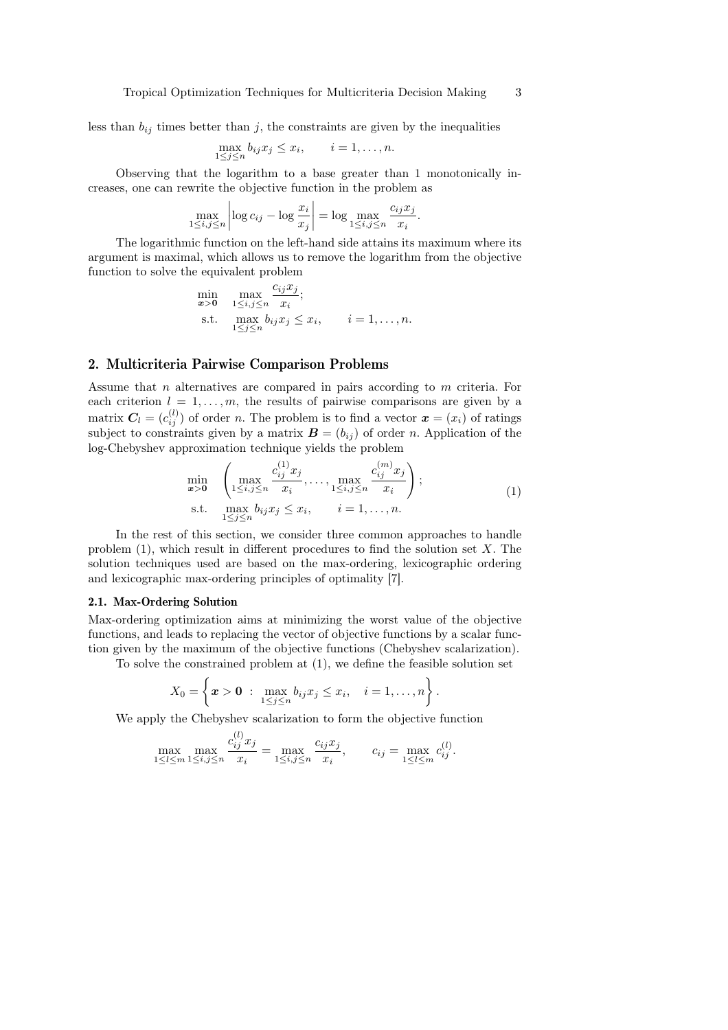less than  $b_{ij}$  times better than j, the constraints are given by the inequalities

$$
\max_{1 \le j \le n} b_{ij} x_j \le x_i, \qquad i = 1, \dots, n.
$$

Observing that the logarithm to a base greater than 1 monotonically increases, one can rewrite the objective function in the problem as

$$
\max_{1 \le i,j \le n} \left| \log c_{ij} - \log \frac{x_i}{x_j} \right| = \log \max_{1 \le i,j \le n} \frac{c_{ij} x_j}{x_i}.
$$

The logarithmic function on the left-hand side attains its maximum where its argument is maximal, which allows us to remove the logarithm from the objective function to solve the equivalent problem

$$
\min_{\mathbf{x} > \mathbf{0}} \max_{1 \le i,j \le n} \frac{c_{ij} x_j}{x_i};
$$
\n
$$
\text{s.t.} \max_{1 \le j \le n} b_{ij} x_j \le x_i, \qquad i = 1, \dots, n.
$$

## 2. Multicriteria Pairwise Comparison Problems

Assume that  $n$  alternatives are compared in pairs according to  $m$  criteria. For each criterion  $l = 1, \ldots, m$ , the results of pairwise comparisons are given by a matrix  $C_l = (c_{ij}^{(l)})$  of order n. The problem is to find a vector  $\boldsymbol{x} = (x_i)$  of ratings subject to constraints given by a matrix  $\mathbf{B} = (b_{ij})$  of order n. Application of the log-Chebyshev approximation technique yields the problem

$$
\min_{\mathbf{x} > \mathbf{0}} \quad \left( \max_{1 \le i, j \le n} \frac{c_{ij}^{(1)} x_j}{x_i}, \dots, \max_{1 \le i, j \le n} \frac{c_{ij}^{(m)} x_j}{x_i} \right);
$$
\n
$$
\text{s.t.} \quad \max_{1 \le j \le n} b_{ij} x_j \le x_i, \qquad i = 1, \dots, n. \tag{1}
$$

In the rest of this section, we consider three common approaches to handle problem  $(1)$ , which result in different procedures to find the solution set X. The solution techniques used are based on the max-ordering, lexicographic ordering and lexicographic max-ordering principles of optimality [7].

#### 2.1. Max-Ordering Solution

Max-ordering optimization aims at minimizing the worst value of the objective functions, and leads to replacing the vector of objective functions by a scalar function given by the maximum of the objective functions (Chebyshev scalarization).

To solve the constrained problem at (1), we define the feasible solution set

$$
X_0 = \left\{ \boldsymbol{x} > \boldsymbol{0} \; : \; \max_{1 \leq j \leq n} b_{ij} x_j \leq x_i, \quad i = 1, \ldots, n \right\}.
$$

We apply the Chebyshev scalarization to form the objective function

 $\langle \rangle$ 

$$
\max_{1 \le l \le m} \max_{1 \le i, j \le n} \frac{c_{ij}^{(l)} x_j}{x_i} = \max_{1 \le i, j \le n} \frac{c_{ij} x_j}{x_i}, \qquad c_{ij} = \max_{1 \le l \le m} c_{ij}^{(l)}.
$$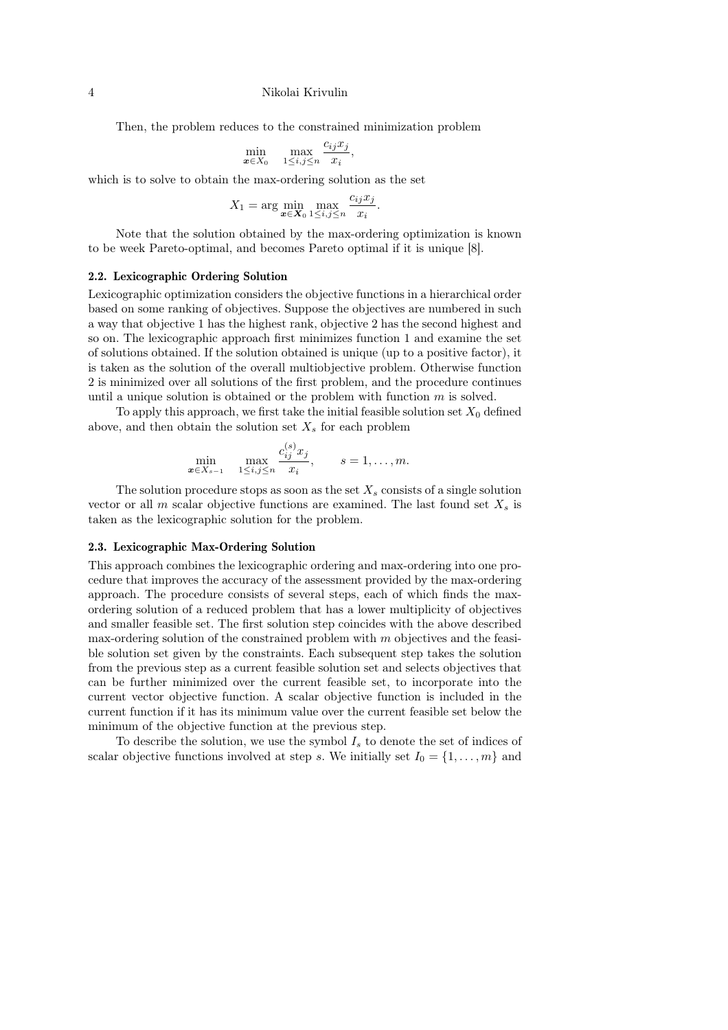#### 4 Nikolai Krivulin

Then, the problem reduces to the constrained minimization problem

$$
\min_{\boldsymbol{x}\in X_0} \quad \max_{1\leq i,j\leq n} \frac{c_{ij}x_j}{x_i},
$$

which is to solve to obtain the max-ordering solution as the set

$$
X_1 = \arg\min_{\mathbf{x} \in \mathbf{X}_0} \max_{1 \le i,j \le n} \frac{c_{ij} x_j}{x_i}.
$$

Note that the solution obtained by the max-ordering optimization is known to be week Pareto-optimal, and becomes Pareto optimal if it is unique [8].

#### 2.2. Lexicographic Ordering Solution

Lexicographic optimization considers the objective functions in a hierarchical order based on some ranking of objectives. Suppose the objectives are numbered in such a way that objective 1 has the highest rank, objective 2 has the second highest and so on. The lexicographic approach first minimizes function 1 and examine the set of solutions obtained. If the solution obtained is unique (up to a positive factor), it is taken as the solution of the overall multiobjective problem. Otherwise function 2 is minimized over all solutions of the first problem, and the procedure continues until a unique solution is obtained or the problem with function  $m$  is solved.

To apply this approach, we first take the initial feasible solution set  $X_0$  defined above, and then obtain the solution set  $X_s$  for each problem

$$
\min_{\boldsymbol{x}\in X_{s-1}} \quad \max_{1\leq i,j\leq n} \frac{c_{ij}^{(s)}x_j}{x_i}, \qquad s=1,\ldots,m.
$$

The solution procedure stops as soon as the set  $X_s$  consists of a single solution vector or all m scalar objective functions are examined. The last found set  $X_s$  is taken as the lexicographic solution for the problem.

## 2.3. Lexicographic Max-Ordering Solution

This approach combines the lexicographic ordering and max-ordering into one procedure that improves the accuracy of the assessment provided by the max-ordering approach. The procedure consists of several steps, each of which finds the maxordering solution of a reduced problem that has a lower multiplicity of objectives and smaller feasible set. The first solution step coincides with the above described max-ordering solution of the constrained problem with  $m$  objectives and the feasible solution set given by the constraints. Each subsequent step takes the solution from the previous step as a current feasible solution set and selects objectives that can be further minimized over the current feasible set, to incorporate into the current vector objective function. A scalar objective function is included in the current function if it has its minimum value over the current feasible set below the minimum of the objective function at the previous step.

To describe the solution, we use the symbol  $I_s$  to denote the set of indices of scalar objective functions involved at step s. We initially set  $I_0 = \{1, \ldots, m\}$  and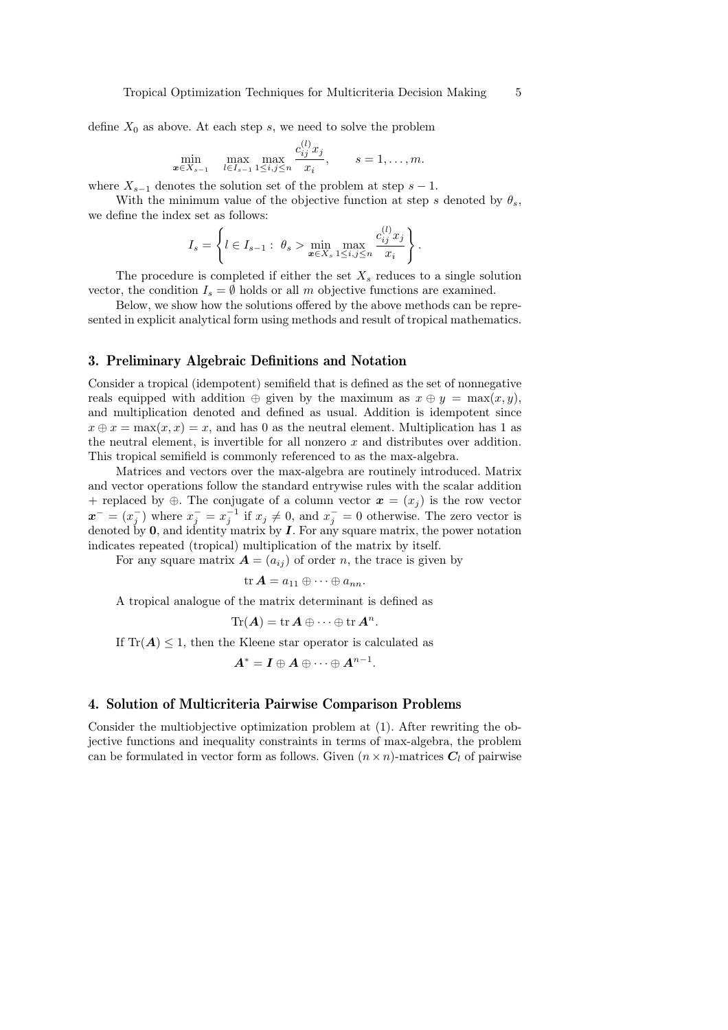define  $X_0$  as above. At each step s, we need to solve the problem

$$
\min_{\mathbf{x}\in X_{s-1}} \max_{l\in I_{s-1}} \max_{1\le i,j\le n} \frac{c_{ij}^{(l)}x_j}{x_i}, \qquad s=1,\ldots,m.
$$

where  $X_{s-1}$  denotes the solution set of the problem at step  $s-1$ .

With the minimum value of the objective function at step s denoted by  $\theta_s$ , we define the index set as follows:

$$
I_s = \left\{ l \in I_{s-1} : \ \theta_s > \min_{\mathbf{x} \in X_s} \max_{1 \le i,j \le n} \frac{c_{ij}^{(l)} x_j}{x_i} \right\}.
$$

The procedure is completed if either the set  $X_s$  reduces to a single solution vector, the condition  $I_s = \emptyset$  holds or all m objective functions are examined.

Below, we show how the solutions offered by the above methods can be represented in explicit analytical form using methods and result of tropical mathematics.

#### 3. Preliminary Algebraic Definitions and Notation

Consider a tropical (idempotent) semifield that is defined as the set of nonnegative reals equipped with addition ⊕ given by the maximum as  $x \oplus y = \max(x, y)$ , and multiplication denoted and defined as usual. Addition is idempotent since  $x \oplus x = \max(x, x) = x$ , and has 0 as the neutral element. Multiplication has 1 as the neutral element, is invertible for all nonzero x and distributes over addition. This tropical semifield is commonly referenced to as the max-algebra.

Matrices and vectors over the max-algebra are routinely introduced. Matrix and vector operations follow the standard entrywise rules with the scalar addition + replaced by  $\oplus$ . The conjugate of a column vector  $\mathbf{x} = (x_j)$  is the row vector  $\boldsymbol{x}^- = (x_j^-)$  where  $x_j^- = x_j^{-1}$  if  $x_j \neq 0$ , and  $x_j^- = 0$  otherwise. The zero vector is denoted by 0, and identity matrix by  $I$ . For any square matrix, the power notation indicates repeated (tropical) multiplication of the matrix by itself.

For any square matrix  $\mathbf{A} = (a_{ij})$  of order n, the trace is given by

$$
\operatorname{tr} \mathbf{A} = a_{11} \oplus \cdots \oplus a_{nn}.
$$

A tropical analogue of the matrix determinant is defined as

$$
\mathrm{Tr}(\boldsymbol{A})=\mathrm{tr}\,\boldsymbol{A}\oplus\cdots\oplus\mathrm{tr}\,\boldsymbol{A}^n.
$$

If  $Tr(A) \leq 1$ , then the Kleene star operator is calculated as

$$
\boldsymbol{A}^* = \boldsymbol{I} \oplus \boldsymbol{A} \oplus \cdots \oplus \boldsymbol{A}^{n-1}.
$$

# 4. Solution of Multicriteria Pairwise Comparison Problems

Consider the multiobjective optimization problem at (1). After rewriting the objective functions and inequality constraints in terms of max-algebra, the problem can be formulated in vector form as follows. Given  $(n \times n)$ -matrices  $C_l$  of pairwise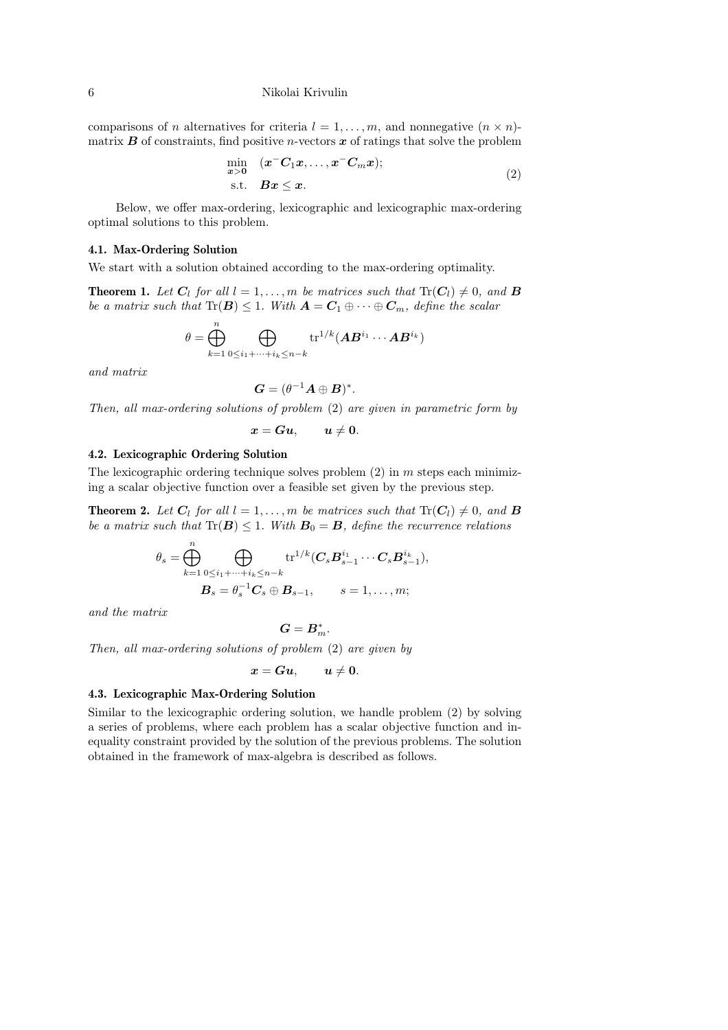#### 6 Nikolai Krivulin

comparisons of n alternatives for criteria  $l = 1, \ldots, m$ , and nonnegative  $(n \times n)$ matrix  $\bf{B}$  of constraints, find positive *n*-vectors  $\bf{x}$  of ratings that solve the problem

$$
\min_{\mathbf{x} > \mathbf{0}} \quad (\mathbf{x}^- \mathbf{C}_1 \mathbf{x}, \dots, \mathbf{x}^- \mathbf{C}_m \mathbf{x});
$$
\n
$$
\text{s.t.} \quad \mathbf{B} \mathbf{x} \le \mathbf{x}. \tag{2}
$$

Below, we offer max-ordering, lexicographic and lexicographic max-ordering optimal solutions to this problem.

#### 4.1. Max-Ordering Solution

We start with a solution obtained according to the max-ordering optimality.

**Theorem 1.** Let  $C_l$  for all  $l = 1, ..., m$  be matrices such that  $\text{Tr}(C_l) \neq 0$ , and **B** be a matrix such that  $\text{Tr}(\mathbf{B}) \leq 1$ . With  $\mathbf{A} = \mathbf{C}_1 \oplus \cdots \oplus \mathbf{C}_m$ , define the scalar

$$
\theta = \bigoplus_{k=1}^n \bigoplus_{0 \leq i_1 + \dots + i_k \leq n-k} \text{tr}^{1/k}(\mathbf{A}\mathbf{B}^{i_1} \cdots \mathbf{A} \mathbf{B}^{i_k})
$$

and matrix

$$
\boldsymbol{G} = (\theta^{-1}\boldsymbol{A}\oplus \boldsymbol{B})^*.
$$

Then, all max-ordering solutions of problem (2) are given in parametric form by

$$
x = Gu, \qquad u \neq 0.
$$

## 4.2. Lexicographic Ordering Solution

The lexicographic ordering technique solves problem  $(2)$  in m steps each minimizing a scalar objective function over a feasible set given by the previous step.

**Theorem 2.** Let  $C_l$  for all  $l = 1, ..., m$  be matrices such that  $\text{Tr}(C_l) \neq 0$ , and **B** be a matrix such that  $\text{Tr}(\mathbf{B}) \leq 1$ . With  $\mathbf{B}_0 = \mathbf{B}$ , define the recurrence relations

$$
\theta_s = \bigoplus_{k=1}^n \bigoplus_{\substack{0 \le i_1 + \dots + i_k \le n-k \\ \mathbf{B}_s = \theta_s^{-1} \mathbf{C}_s \oplus \mathbf{B}_{s-1},}} \text{tr}^{1/k}(\mathbf{C}_s \mathbf{B}_{s-1}^{i_1} \cdots \mathbf{C}_s \mathbf{B}_{s-1}^{i_k}),
$$

and the matrix

$$
\boldsymbol{G}=\boldsymbol{B}_{m}^{*}.
$$

Then, all max-ordering solutions of problem (2) are given by

$$
x = Gu, \qquad u \neq 0.
$$

## 4.3. Lexicographic Max-Ordering Solution

Similar to the lexicographic ordering solution, we handle problem (2) by solving a series of problems, where each problem has a scalar objective function and inequality constraint provided by the solution of the previous problems. The solution obtained in the framework of max-algebra is described as follows.